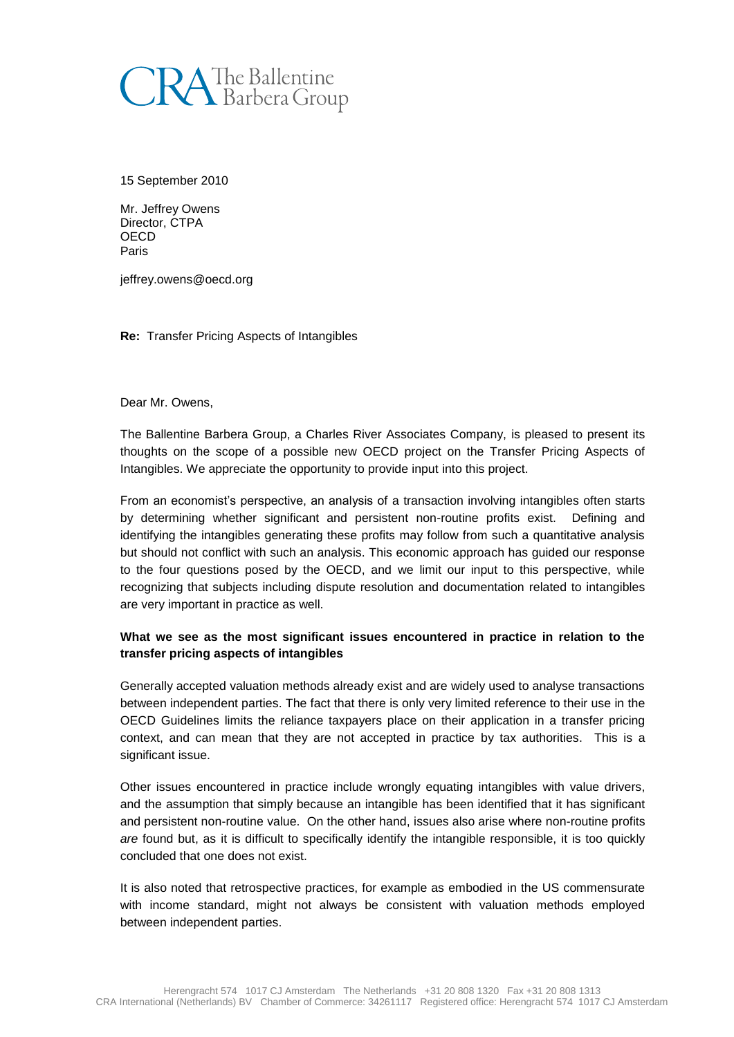

15 September 2010

Mr. Jeffrey Owens Director, CTPA OECD Paris

jeffrey.owens@oecd.org

**Re:** Transfer Pricing Aspects of Intangibles

Dear Mr. Owens,

The Ballentine Barbera Group, a Charles River Associates Company, is pleased to present its thoughts on the scope of a possible new OECD project on the Transfer Pricing Aspects of Intangibles. We appreciate the opportunity to provide input into this project.

From an economist's perspective, an analysis of a transaction involving intangibles often starts by determining whether significant and persistent non-routine profits exist. Defining and identifying the intangibles generating these profits may follow from such a quantitative analysis but should not conflict with such an analysis. This economic approach has guided our response to the four questions posed by the OECD, and we limit our input to this perspective, while recognizing that subjects including dispute resolution and documentation related to intangibles are very important in practice as well.

## **What we see as the most significant issues encountered in practice in relation to the transfer pricing aspects of intangibles**

Generally accepted valuation methods already exist and are widely used to analyse transactions between independent parties. The fact that there is only very limited reference to their use in the OECD Guidelines limits the reliance taxpayers place on their application in a transfer pricing context, and can mean that they are not accepted in practice by tax authorities. This is a significant issue.

Other issues encountered in practice include wrongly equating intangibles with value drivers, and the assumption that simply because an intangible has been identified that it has significant and persistent non-routine value. On the other hand, issues also arise where non-routine profits *are* found but, as it is difficult to specifically identify the intangible responsible, it is too quickly concluded that one does not exist.

It is also noted that retrospective practices, for example as embodied in the US commensurate with income standard, might not always be consistent with valuation methods employed between independent parties.